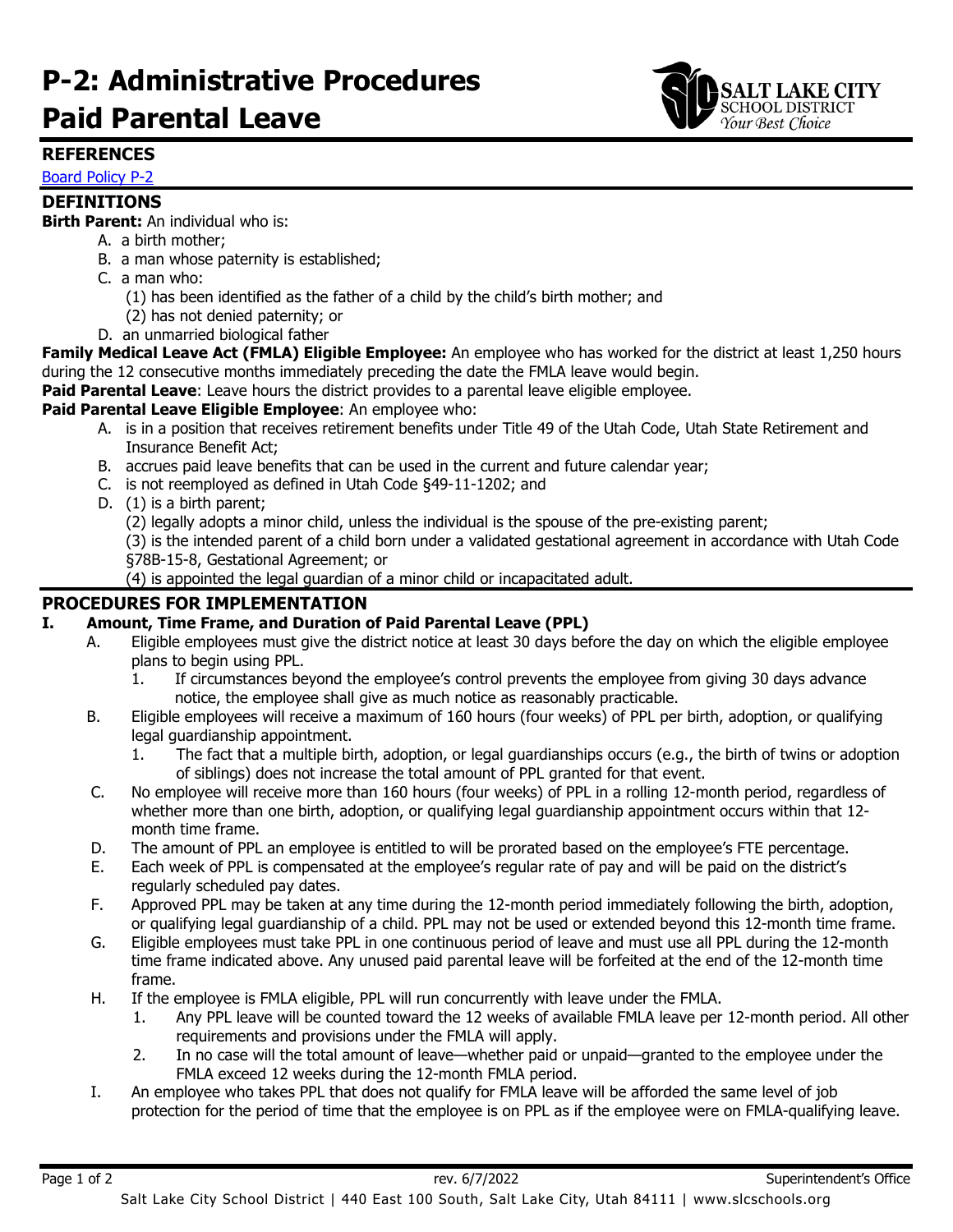# **P-2: Administrative Procedures Paid Parental Leave**



# **REFERENCES**

[Board Policy P-2](https://websites.slcschools.org/fs/resource-manager/view/a96ed2c1-a398-4306-9700-b9e32bd6c8f3)

## **DEFINITIONS**

**Birth Parent:** An individual who is:

- A. a birth mother;
- B. a man whose paternity is established;
- C. a man who:
	- (1) has been identified as the father of a child by the child's birth mother; and
	- (2) has not denied paternity; or
- D. an unmarried biological father

**Family Medical Leave Act (FMLA) Eligible Employee:** An employee who has worked for the district at least 1,250 hours during the 12 consecutive months immediately preceding the date the FMLA leave would begin.

**Paid Parental Leave**: Leave hours the district provides to a parental leave eligible employee.

#### **Paid Parental Leave Eligible Employee**: An employee who:

- A. is in a position that receives retirement benefits under Title 49 of the Utah Code, Utah State Retirement and Insurance Benefit Act;
- B. accrues paid leave benefits that can be used in the current and future calendar year;
- C. is not reemployed as defined in Utah Code §49-11-1202; and
- D. (1) is a birth parent;

(2) legally adopts a minor child, unless the individual is the spouse of the pre-existing parent;

(3) is the intended parent of a child born under a validated gestational agreement in accordance with Utah Code §78B-15-8, Gestational Agreement; or

(4) is appointed the legal guardian of a minor child or incapacitated adult.

# **PROCEDURES FOR IMPLEMENTATION**

### **I. Amount, Time Frame, and Duration of Paid Parental Leave (PPL)**

- A. Eligible employees must give the district notice at least 30 days before the day on which the eligible employee plans to begin using PPL.
	- 1. If circumstances beyond the employee's control prevents the employee from giving 30 days advance notice, the employee shall give as much notice as reasonably practicable.
- B. Eligible employees will receive a maximum of 160 hours (four weeks) of PPL per birth, adoption, or qualifying legal guardianship appointment.
	- 1. The fact that a multiple birth, adoption, or legal guardianships occurs (e.g., the birth of twins or adoption of siblings) does not increase the total amount of PPL granted for that event.
- C. No employee will receive more than 160 hours (four weeks) of PPL in a rolling 12-month period, regardless of whether more than one birth, adoption, or qualifying legal guardianship appointment occurs within that 12 month time frame.
- D. The amount of PPL an employee is entitled to will be prorated based on the employee's FTE percentage.
- E. Each week of PPL is compensated at the employee's regular rate of pay and will be paid on the district's regularly scheduled pay dates.
- F. Approved PPL may be taken at any time during the 12-month period immediately following the birth, adoption, or qualifying legal guardianship of a child. PPL may not be used or extended beyond this 12-month time frame.
- G. Eligible employees must take PPL in one continuous period of leave and must use all PPL during the 12-month time frame indicated above. Any unused paid parental leave will be forfeited at the end of the 12-month time frame.
- H. If the employee is FMLA eligible, PPL will run concurrently with leave under the FMLA.
	- 1. Any PPL leave will be counted toward the 12 weeks of available FMLA leave per 12-month period. All other requirements and provisions under the FMLA will apply.
	- 2. In no case will the total amount of leave—whether paid or unpaid—granted to the employee under the FMLA exceed 12 weeks during the 12-month FMLA period.
- I. An employee who takes PPL that does not qualify for FMLA leave will be afforded the same level of job protection for the period of time that the employee is on PPL as if the employee were on FMLA-qualifying leave.